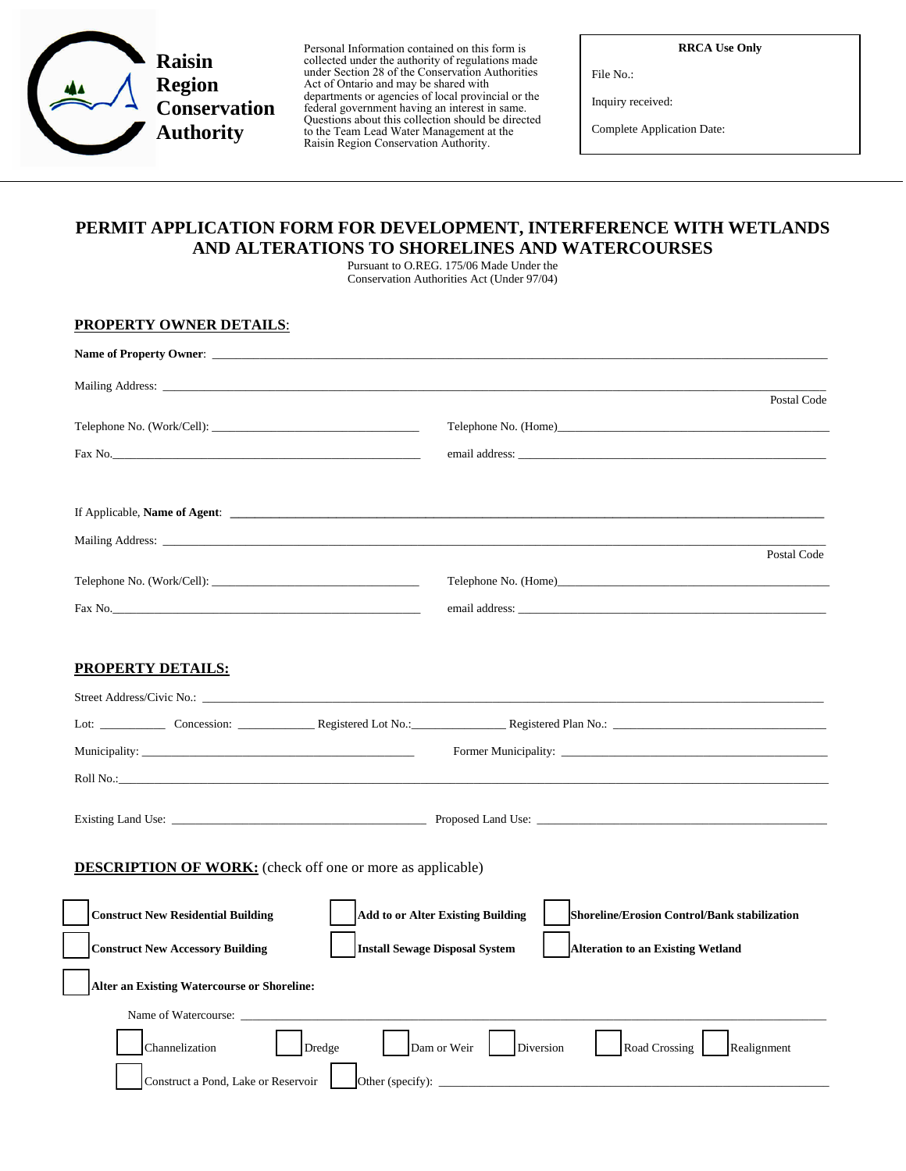

Personal Information contained on this form is collected under the authority of regulations made under Section 28 of the Conservation Authorities Act of Ontario and may be shared with departments or agencies of local provincial or the federal government having an interest in same. Questions about this collection should be directed to the Team Lead Water Management at the Raisin Region Conservation Authority.

**RRCA Use Only**

File No.:

Inquiry received:

Complete Application Date:

## **PERMIT APPLICATION FORM FOR DEVELOPMENT, INTERFERENCE WITH WETLANDS AND ALTERATIONS TO SHORELINES AND WATERCOURSES**

Pursuant to O.REG. 175/06 Made Under the Conservation Authorities Act (Under 97/04)

## **PROPERTY OWNER DETAILS**:

| Name of Property Owner:                                                                                                                                                                                                        |                                                                                          |
|--------------------------------------------------------------------------------------------------------------------------------------------------------------------------------------------------------------------------------|------------------------------------------------------------------------------------------|
|                                                                                                                                                                                                                                | Postal Code                                                                              |
|                                                                                                                                                                                                                                | Telephone No. (Home)                                                                     |
| Fax No.                                                                                                                                                                                                                        |                                                                                          |
|                                                                                                                                                                                                                                |                                                                                          |
|                                                                                                                                                                                                                                |                                                                                          |
|                                                                                                                                                                                                                                |                                                                                          |
|                                                                                                                                                                                                                                | Postal Code                                                                              |
|                                                                                                                                                                                                                                |                                                                                          |
| Fax No.                                                                                                                                                                                                                        |                                                                                          |
|                                                                                                                                                                                                                                |                                                                                          |
| <b>PROPERTY DETAILS:</b>                                                                                                                                                                                                       |                                                                                          |
| Street Address/Civic No.: University of the Street Address of the Street Address of the Street Address of the Street Address of the Street Address of the Street Address of the Street Address of the Street Address of the St |                                                                                          |
|                                                                                                                                                                                                                                |                                                                                          |
|                                                                                                                                                                                                                                |                                                                                          |
|                                                                                                                                                                                                                                |                                                                                          |
|                                                                                                                                                                                                                                |                                                                                          |
|                                                                                                                                                                                                                                |                                                                                          |
| <b>DESCRIPTION OF WORK:</b> (check off one or more as applicable)                                                                                                                                                              |                                                                                          |
| <b>Construct New Residential Building</b>                                                                                                                                                                                      | <b>Add to or Alter Existing Building</b><br>Shoreline/Erosion Control/Bank stabilization |
| <b>Install Sewage Disposal System</b><br><b>Construct New Accessory Building</b>                                                                                                                                               | <b>Alteration to an Existing Wetland</b>                                                 |
| <b>Alter an Existing Watercourse or Shoreline:</b>                                                                                                                                                                             |                                                                                          |
|                                                                                                                                                                                                                                |                                                                                          |
|                                                                                                                                                                                                                                |                                                                                          |
| Channelization<br>Dredge                                                                                                                                                                                                       | Dam or Weir<br>Diversion<br>Road Crossing<br>Realignment                                 |
| Construct a Pond, Lake or Reservoir                                                                                                                                                                                            | Other (specify): $\qquad \qquad$                                                         |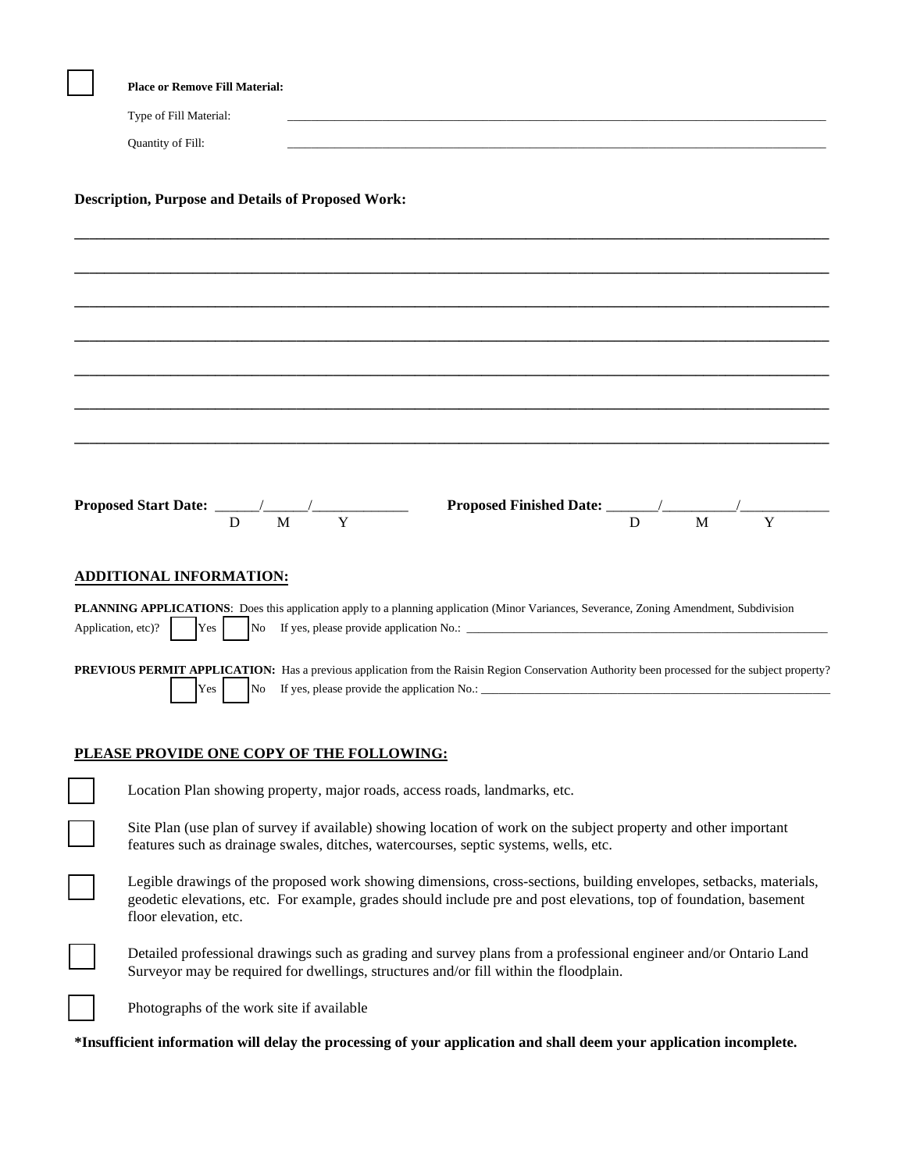|                                                           | <b>Place or Remove Fill Material:</b>                                                                                                                                                                                                                            |  |  |  |  |  |
|-----------------------------------------------------------|------------------------------------------------------------------------------------------------------------------------------------------------------------------------------------------------------------------------------------------------------------------|--|--|--|--|--|
|                                                           | Type of Fill Material:<br>the control of the control of the control of the control of the control of the control of                                                                                                                                              |  |  |  |  |  |
|                                                           | Quantity of Fill:                                                                                                                                                                                                                                                |  |  |  |  |  |
| <b>Description, Purpose and Details of Proposed Work:</b> |                                                                                                                                                                                                                                                                  |  |  |  |  |  |
|                                                           |                                                                                                                                                                                                                                                                  |  |  |  |  |  |
|                                                           |                                                                                                                                                                                                                                                                  |  |  |  |  |  |
|                                                           |                                                                                                                                                                                                                                                                  |  |  |  |  |  |
|                                                           |                                                                                                                                                                                                                                                                  |  |  |  |  |  |
|                                                           |                                                                                                                                                                                                                                                                  |  |  |  |  |  |
|                                                           |                                                                                                                                                                                                                                                                  |  |  |  |  |  |
|                                                           | Y<br>M<br>M<br>Y<br>D<br>D                                                                                                                                                                                                                                       |  |  |  |  |  |
|                                                           | <b>ADDITIONAL INFORMATION:</b>                                                                                                                                                                                                                                   |  |  |  |  |  |
| Application, etc)?                                        | <b>PLANNING APPLICATIONS:</b> Does this application apply to a planning application (Minor Variances, Severance, Zoning Amendment, Subdivision<br>Yes                                                                                                            |  |  |  |  |  |
|                                                           | PREVIOUS PERMIT APPLICATION: Has a previous application from the Raisin Region Conservation Authority been processed for the subject property?<br>No<br>Yes                                                                                                      |  |  |  |  |  |
|                                                           | PLEASE PROVIDE ONE COPY OF THE FOLLOWING:                                                                                                                                                                                                                        |  |  |  |  |  |
|                                                           | Location Plan showing property, major roads, access roads, landmarks, etc.                                                                                                                                                                                       |  |  |  |  |  |
|                                                           | Site Plan (use plan of survey if available) showing location of work on the subject property and other important<br>features such as drainage swales, ditches, watercourses, septic systems, wells, etc.                                                         |  |  |  |  |  |
|                                                           | Legible drawings of the proposed work showing dimensions, cross-sections, building envelopes, setbacks, materials,<br>geodetic elevations, etc. For example, grades should include pre and post elevations, top of foundation, basement<br>floor elevation, etc. |  |  |  |  |  |
|                                                           | Detailed professional drawings such as grading and survey plans from a professional engineer and/or Ontario Land<br>Surveyor may be required for dwellings, structures and/or fill within the floodplain.                                                        |  |  |  |  |  |
|                                                           | Photographs of the work site if available                                                                                                                                                                                                                        |  |  |  |  |  |

**\*Insufficient information will delay the processing of your application and shall deem your application incomplete.**